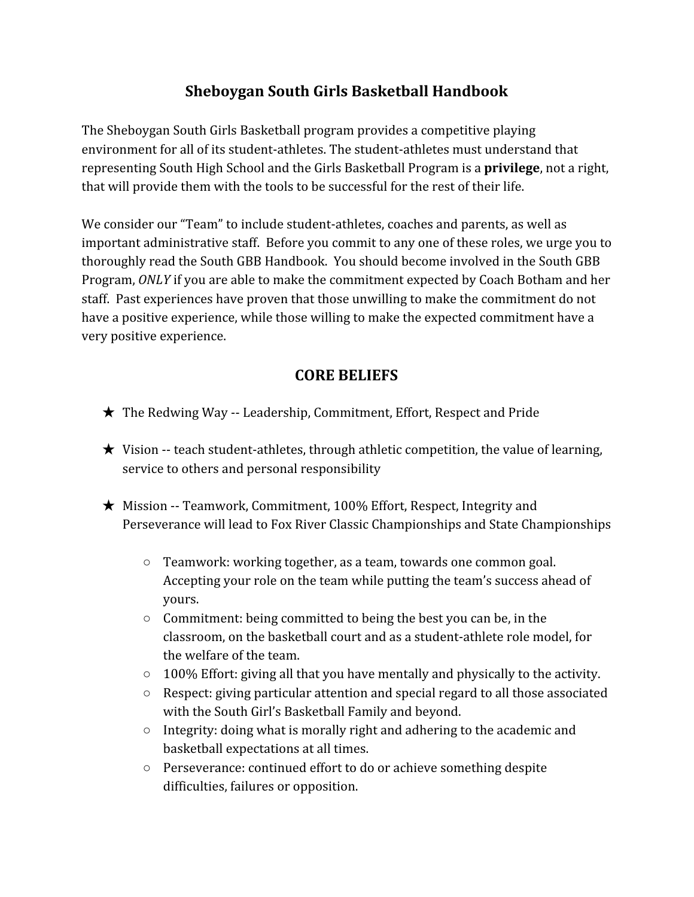## **Sheboygan South Girls Basketball Handbook**

The Sheboygan South Girls Basketball program provides a competitive playing environment for all of its student-athletes. The student-athletes must understand that representing South High School and the Girls Basketball Program is a **privilege**, not a right, that will provide them with the tools to be successful for the rest of their life.

We consider our "Team" to include student-athletes, coaches and parents, as well as important administrative staff. Before you commit to any one of these roles, we urge you to thoroughly read the South GBB Handbook. You should become involved in the South GBB Program, *ONLY* if you are able to make the commitment expected by Coach Botham and her staff. Past experiences have proven that those unwilling to make the commitment do not have a positive experience, while those willing to make the expected commitment have a very positive experience.

### **CORE BELIEFS**

- ★ The Redwing Way -- Leadership, Commitment, Effort, Respect and Pride
- $\star$  Vision -- teach student-athletes, through athletic competition, the value of learning, service to others and personal responsibility
- $\star$  Mission -- Teamwork, Commitment, 100% Effort, Respect, Integrity and Perseverance will lead to Fox River Classic Championships and State Championships
	- Teamwork: working together, as a team, towards one common goal. Accepting your role on the team while putting the team's success ahead of yours.
	- Commitment: being committed to being the best you can be, in the classroom, on the basketball court and as a student-athlete role model, for the welfare of the team.
	- 100% Effort: giving all that you have mentally and physically to the activity.
	- $\circ$  Respect: giving particular attention and special regard to all those associated with the South Girl's Basketball Family and beyond.
	- Integrity: doing what is morally right and adhering to the academic and basketball expectations at all times.
	- Perseverance: continued effort to do or achieve something despite difficulties, failures or opposition.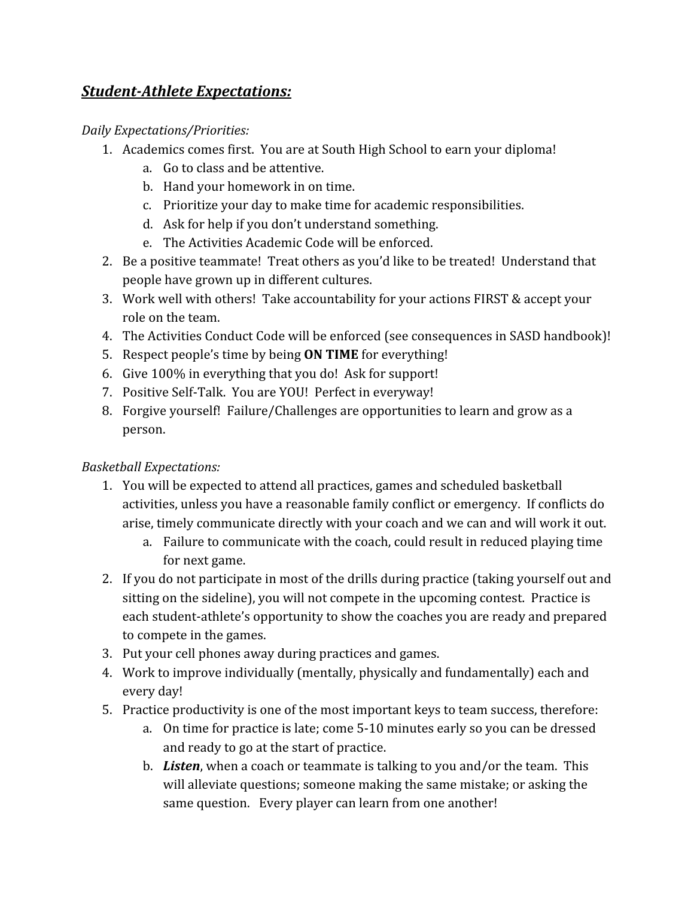#### *Student-Athlete Expectations:*

#### *Daily Expectations/Priorities:*

- 1. Academics comes first. You are at South High School to earn your diploma!
	- a. Go to class and be attentive.
	- b. Hand your homework in on time.
	- c. Prioritize your day to make time for academic responsibilities.
	- d. Ask for help if you don't understand something.
	- e. The Activities Academic Code will be enforced.
- 2. Be a positive teammate! Treat others as you'd like to be treated! Understand that people have grown up in different cultures.
- 3. Work well with others! Take accountability for your actions FIRST & accept your role on the team.
- 4. The Activities Conduct Code will be enforced (see consequences in SASD handbook)!
- 5. Respect people's time by being **ON TIME** for everything!
- 6. Give 100% in everything that you do! Ask for support!
- 7. Positive Self-Talk. You are YOU! Perfect in everyway!
- 8. Forgive yourself! Failure/Challenges are opportunities to learn and grow as a person.

#### *Basketball Expectations:*

- 1. You will be expected to attend all practices, games and scheduled basketball activities, unless you have a reasonable family conflict or emergency. If conflicts do arise, timely communicate directly with your coach and we can and will work it out.
	- a. Failure to communicate with the coach, could result in reduced playing time for next game.
- 2. If you do not participate in most of the drills during practice (taking yourself out and sitting on the sideline), you will not compete in the upcoming contest. Practice is each student-athlete's opportunity to show the coaches you are ready and prepared to compete in the games.
- 3. Put your cell phones away during practices and games.
- 4. Work to improve individually (mentally, physically and fundamentally) each and every day!
- 5. Practice productivity is one of the most important keys to team success, therefore:
	- a. On time for practice is late; come 5-10 minutes early so you can be dressed and ready to go at the start of practice.
	- b. *Listen*, when a coach or teammate is talking to you and/or the team. This will alleviate questions; someone making the same mistake; or asking the same question. Every player can learn from one another!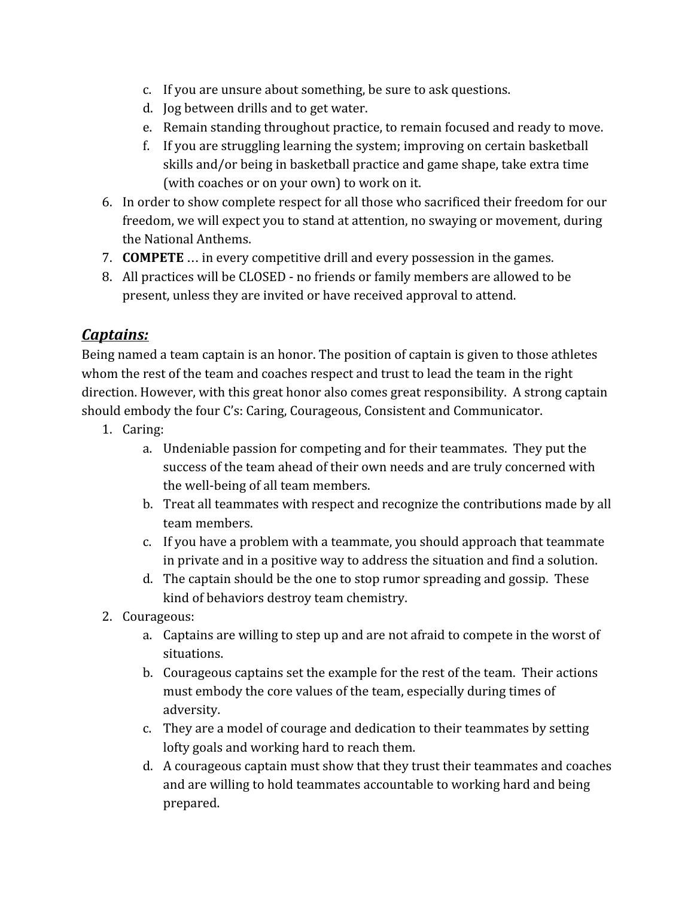- c. If you are unsure about something, be sure to ask questions.
- d. Jog between drills and to get water.
- e. Remain standing throughout practice, to remain focused and ready to move.
- f. If you are struggling learning the system; improving on certain basketball skills and/or being in basketball practice and game shape, take extra time (with coaches or on your own) to work on it.
- 6. In order to show complete respect for all those who sacrificed their freedom for our freedom, we will expect you to stand at attention, no swaying or movement, during the National Anthems.
- 7. **COMPETE** … in every competitive drill and every possession in the games.
- 8. All practices will be CLOSED no friends or family members are allowed to be present, unless they are invited or have received approval to attend.

## *Captains:*

Being named a team captain is an honor. The position of captain is given to those athletes whom the rest of the team and coaches respect and trust to lead the team in the right direction. However, with this great honor also comes great responsibility. A strong captain should embody the four C's: Caring, Courageous, Consistent and Communicator.

- 1. Caring:
	- a. Undeniable passion for competing and for their teammates. They put the success of the team ahead of their own needs and are truly concerned with the well-being of all team members.
	- b. Treat all teammates with respect and recognize the contributions made by all team members.
	- c. If you have a problem with a teammate, you should approach that teammate in private and in a positive way to address the situation and find a solution.
	- d. The captain should be the one to stop rumor spreading and gossip. These kind of behaviors destroy team chemistry.
- 2. Courageous:
	- a. Captains are willing to step up and are not afraid to compete in the worst of situations.
	- b. Courageous captains set the example for the rest of the team. Their actions must embody the core values of the team, especially during times of adversity.
	- c. They are a model of courage and dedication to their teammates by setting lofty goals and working hard to reach them.
	- d. A courageous captain must show that they trust their teammates and coaches and are willing to hold teammates accountable to working hard and being prepared.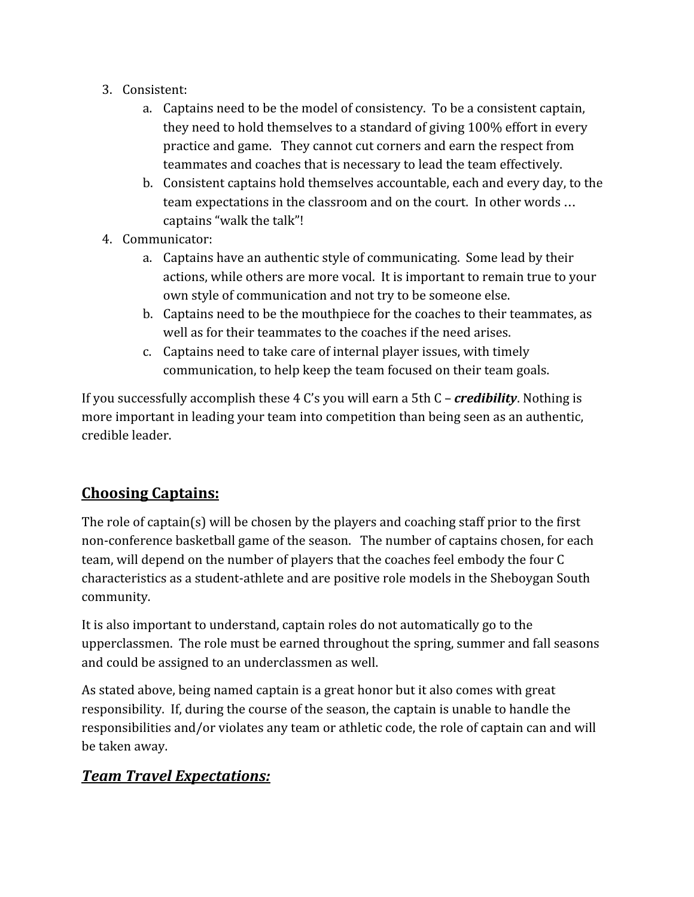- 3. Consistent:
	- a. Captains need to be the model of consistency. To be a consistent captain, they need to hold themselves to a standard of giving 100% effort in every practice and game. They cannot cut corners and earn the respect from teammates and coaches that is necessary to lead the team effectively.
	- b. Consistent captains hold themselves accountable, each and every day, to the team expectations in the classroom and on the court. In other words … captains "walk the talk"!
- 4. Communicator:
	- a. Captains have an authentic style of communicating. Some lead by their actions, while others are more vocal. It is important to remain true to your own style of communication and not try to be someone else.
	- b. Captains need to be the mouthpiece for the coaches to their teammates, as well as for their teammates to the coaches if the need arises.
	- c. Captains need to take care of internal player issues, with timely communication, to help keep the team focused on their team goals.

If you successfully accomplish these 4 C's you will earn a 5th C – *credibility*. Nothing is more important in leading your team into competition than being seen as an authentic, credible leader.

## **Choosing Captains:**

The role of captain(s) will be chosen by the players and coaching staff prior to the first non-conference basketball game of the season. The number of captains chosen, for each team, will depend on the number of players that the coaches feel embody the four C characteristics as a student-athlete and are positive role models in the Sheboygan South community.

It is also important to understand, captain roles do not automatically go to the upperclassmen. The role must be earned throughout the spring, summer and fall seasons and could be assigned to an underclassmen as well.

As stated above, being named captain is a great honor but it also comes with great responsibility. If, during the course of the season, the captain is unable to handle the responsibilities and/or violates any team or athletic code, the role of captain can and will be taken away.

### *Team Travel Expectations:*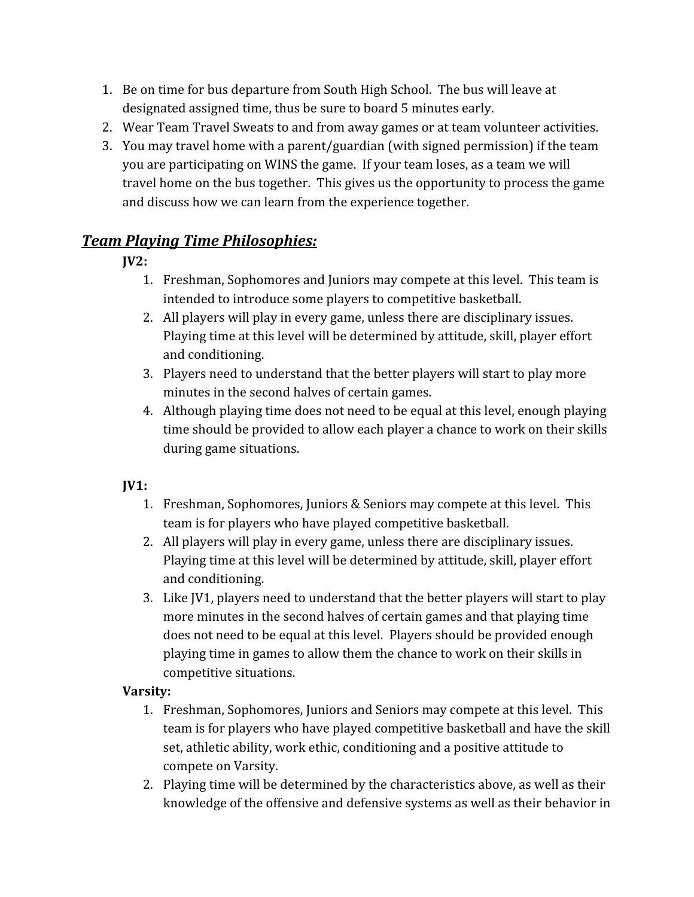- 1. Be on time for bus departure from South High School. The bus will leave at designated assigned time, thus be sure to board 5 minutes early.
- 2. Wear Team Travel Sweats to and from away games or at team volunteer activities.
- 3. You may travel home with a parent/guardian (with signed permission) if the team you are participating on WINS the game. If your team loses, as a team we will travel home on the bus together. This gives us the opportunity to process the game and discuss how we can learn from the experience together.

## *Team Playing Time Philosophies:*

### **JV2:**

- 1. Freshman, Sophomores and Juniors may compete at this level. This team is intended to introduce some players to competitive basketball.
- 2. All players will play in every game, unless there are disciplinary issues. Playing time at this level will be determined by attitude, skill, player effort and conditioning.
- 3. Players need to understand that the better players will start to play more minutes in the second halves of certain games.
- 4. Although playing time does not need to be equal at this level, enough playing time should be provided to allow each player a chance to work on their skills during game situations.

## **JV1:**

- 1. Freshman, Sophomores, Juniors & Seniors may compete at this level. This team is for players who have played competitive basketball.
- 2. All players will play in every game, unless there are disciplinary issues. Playing time at this level will be determined by attitude, skill, player effort and conditioning.
- 3. Like JV1, players need to understand that the better players will start to play more minutes in the second halves of certain games and that playing time does not need to be equal at this level. Players should be provided enough playing time in games to allow them the chance to work on their skills in competitive situations.

### **Varsity:**

- 1. Freshman, Sophomores, Juniors and Seniors may compete at this level. This team is for players who have played competitive basketball and have the skill set, athletic ability, work ethic, conditioning and a positive attitude to compete on Varsity.
- 2. Playing time will be determined by the characteristics above, as well as their knowledge of the offensive and defensive systems as well as their behavior in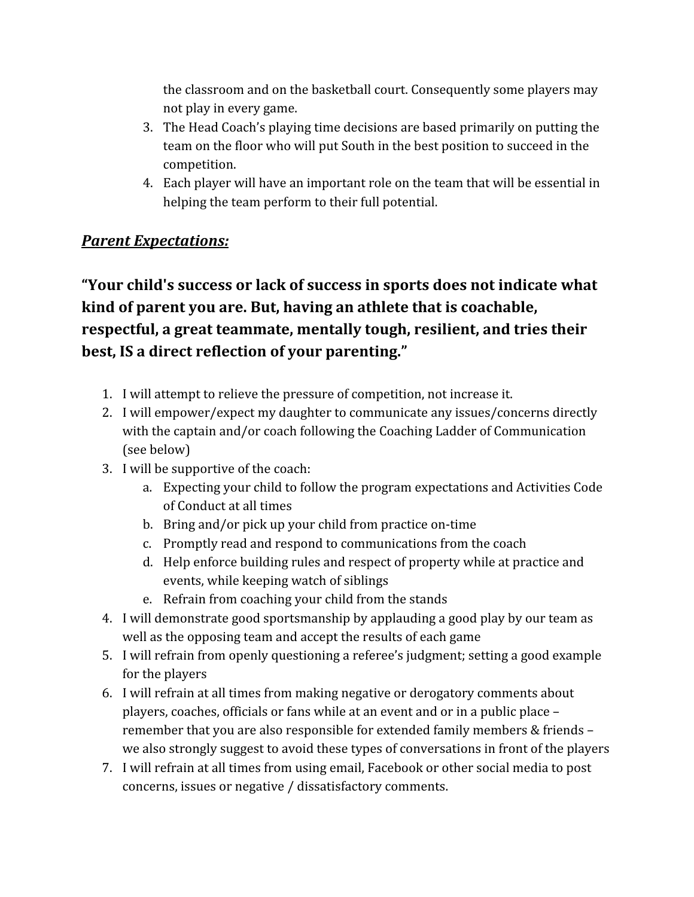the classroom and on the basketball court. Consequently some players may not play in every game.

- 3. The Head Coach's playing time decisions are based primarily on putting the team on the floor who will put South in the best position to succeed in the competition.
- 4. Each player will have an important role on the team that will be essential in helping the team perform to their full potential.

### *Parent Expectations:*

**"Your child's success or lack of success in sports does not indicate what kind of parent you are. But, having an athlete that is coachable, respectful, a great teammate, mentally tough, resilient, and tries their best, IS a direct reflection of your parenting."**

- 1. I will attempt to relieve the pressure of competition, not increase it.
- 2. I will empower/expect my daughter to communicate any issues/concerns directly with the captain and/or coach following the Coaching Ladder of Communication (see below)
- 3. I will be supportive of the coach:
	- a. Expecting your child to follow the program expectations and Activities Code of Conduct at all times
	- b. Bring and/or pick up your child from practice on-time
	- c. Promptly read and respond to communications from the coach
	- d. Help enforce building rules and respect of property while at practice and events, while keeping watch of siblings
	- e. Refrain from coaching your child from the stands
- 4. I will demonstrate good sportsmanship by applauding a good play by our team as well as the opposing team and accept the results of each game
- 5. I will refrain from openly questioning a referee's judgment; setting a good example for the players
- 6. I will refrain at all times from making negative or derogatory comments about players, coaches, officials or fans while at an event and or in a public place – remember that you are also responsible for extended family members & friends – we also strongly suggest to avoid these types of conversations in front of the players
- 7. I will refrain at all times from using email, Facebook or other social media to post concerns, issues or negative / dissatisfactory comments.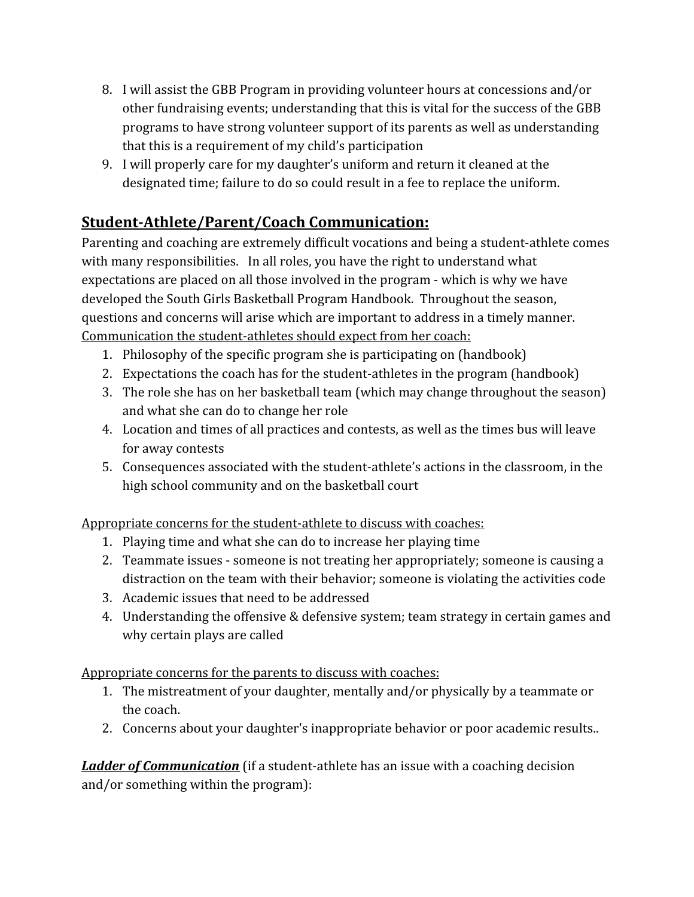- 8. I will assist the GBB Program in providing volunteer hours at concessions and/or other fundraising events; understanding that this is vital for the success of the GBB programs to have strong volunteer support of its parents as well as understanding that this is a requirement of my child's participation
- 9. I will properly care for my daughter's uniform and return it cleaned at the designated time; failure to do so could result in a fee to replace the uniform.

## **Student-Athlete/Parent/Coach Communication:**

Parenting and coaching are extremely difficult vocations and being a student-athlete comes with many responsibilities. In all roles, you have the right to understand what expectations are placed on all those involved in the program - which is why we have developed the South Girls Basketball Program Handbook. Throughout the season, questions and concerns will arise which are important to address in a timely manner. Communication the student-athletes should expect from her coach:

- 1. Philosophy of the specific program she is participating on (handbook)
- 2. Expectations the coach has for the student-athletes in the program (handbook)
- 3. The role she has on her basketball team (which may change throughout the season) and what she can do to change her role
- 4. Location and times of all practices and contests, as well as the times bus will leave for away contests
- 5. Consequences associated with the student-athlete's actions in the classroom, in the high school community and on the basketball court

Appropriate concerns for the student-athlete to discuss with coaches:

- 1. Playing time and what she can do to increase her playing time
- 2. Teammate issues someone is not treating her appropriately; someone is causing a distraction on the team with their behavior; someone is violating the activities code
- 3. Academic issues that need to be addressed
- 4. Understanding the offensive & defensive system; team strategy in certain games and why certain plays are called

Appropriate concerns for the parents to discuss with coaches:

- 1. The mistreatment of your daughter, mentally and/or physically by a teammate or the coach.
- 2. Concerns about your daughter's inappropriate behavior or poor academic results..

*Ladder of Communication* (if a student-athlete has an issue with a coaching decision and/or something within the program):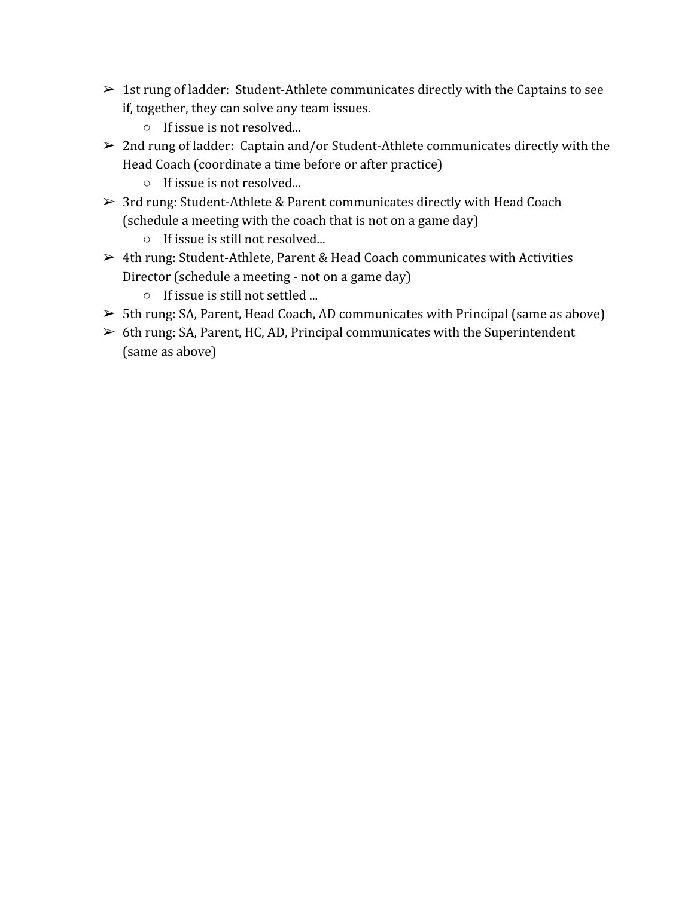- $\geq 1$ st rung of ladder: Student-Athlete communicates directly with the Captains to see if, together, they can solve any team issues.
	- If issue is not resolved...
- $\geq 2$ nd rung of ladder: Captain and/or Student-Athlete communicates directly with the Head Coach (coordinate a time before or after practice)
	- If issue is not resolved...
- ➢ 3rd rung: Student-Athlete & Parent communicates directly with Head Coach (schedule a meeting with the coach that is not on a game day)
	- If issue is still not resolved...
- $\geq 4$ th rung: Student-Athlete, Parent & Head Coach communicates with Activities Director (schedule a meeting - not on a game day)
	- If issue is still not settled ...
- $>$  5th rung: SA, Parent, Head Coach, AD communicates with Principal (same as above)
- $\geq 6$ th rung: SA, Parent, HC, AD, Principal communicates with the Superintendent (same as above)